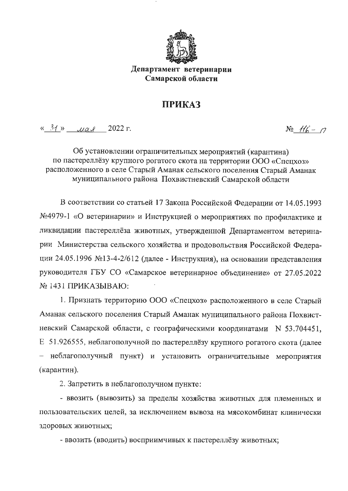

Департамент ветеринарии Самарской области

## **ПРИКАЗ**

 $\frac{31}{2}$  uas 2022 r.

 $N_2$   $116 - 7$ 

Об установлении ограничительных мероприятий (карантина) по пастереллёзу крупного рогатого скота на территории ООО «Спецхоз» расположенного в селе Старый Аманак сельского поселения Старый Аманак муниципального района Похвистневский Самарской области

В соответствии со статьей 17 Закона Российской Федерации от 14.05.1993 №4979-1 «О ветеринарии» и Инструкцией о мероприятиях по профилактике и ликвидации пастереллёза животных, утвержденной Департаментом ветеринарии Министерства сельского хозяйства и продовольствия Российской Федерации 24.05.1996 №13-4-2/612 (далее - Инструкция), на основании представления руководителя ГБУ СО «Самарское ветеринарное объединение» от 27.05.2022  $N_2$  1431 ПРИКАЗЫВАЮ:

1. Признать территорию ООО «Спецхоз» расположенного в селе Старый Аманак сельского поселения Старый Аманак муниципального района Похвистневский Самарской области, с географическими координатами N 53.704451. Е 51.926555, неблагополучной по пастереллёзу крупного рогатого скота (далее неблагополучный пункт) и установить ограничительные мероприятия (карантин).

2. Запретить в неблагополучном пункте:

- ввозить (вывозить) за пределы хозяйства животных для племенных и пользовательских целей, за исключением вывоза на мясокомбинат клинически здоровых животных;

- ввозить (вводить) восприимчивых к пастереллёзу животных;